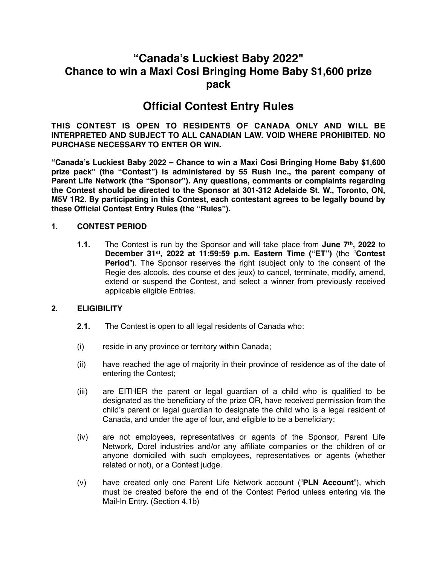# **"Canada's Luckiest Baby 2022" Chance to win a Maxi Cosi Bringing Home Baby \$1,600 prize pack**

# **Official Contest Entry Rules**

**THIS CONTEST IS OPEN TO RESIDENTS OF CANADA ONLY AND WILL BE INTERPRETED AND SUBJECT TO ALL CANADIAN LAW. VOID WHERE PROHIBITED. NO PURCHASE NECESSARY TO ENTER OR WIN.**

**"Canada's Luckiest Baby 2022 – Chance to win a Maxi Cosi Bringing Home Baby \$1,600 prize pack" (the "Contest") is administered by 55 Rush Inc., the parent company of Parent Life Network (the "Sponsor"). Any questions, comments or complaints regarding the Contest should be directed to the Sponsor at 301-312 Adelaide St. W., Toronto, ON, M5V 1R2. By participating in this Contest, each contestant agrees to be legally bound by these Official Contest Entry Rules (the "Rules").**

#### **1. CONTEST PERIOD**

**1.1.** The Contest is run by the Sponsor and will take place from **June 7th, 2022** to **December 31st, 2022 at 11:59:59 p.m. Eastern Time ("ET")** (the "**Contest Period**"). The Sponsor reserves the right (subject only to the consent of the Regie des alcools, des course et des jeux) to cancel, terminate, modify, amend, extend or suspend the Contest, and select a winner from previously received applicable eligible Entries.

## **2. ELIGIBILITY**

- **2.1.** The Contest is open to all legal residents of Canada who:
- (i) reside in any province or territory within Canada;
- (ii) have reached the age of majority in their province of residence as of the date of entering the Contest;
- (iii) are EITHER the parent or legal guardian of a child who is qualified to be designated as the beneficiary of the prize OR, have received permission from the child's parent or legal guardian to designate the child who is a legal resident of Canada, and under the age of four, and eligible to be a beneficiary;
- (iv) are not employees, representatives or agents of the Sponsor, Parent Life Network, Dorel industries and/or any affiliate companies or the children of or anyone domiciled with such employees, representatives or agents (whether related or not), or a Contest judge.
- (v) have created only one Parent Life Network account ("**PLN Account**"), which must be created before the end of the Contest Period unless entering via the Mail-In Entry. (Section 4.1b)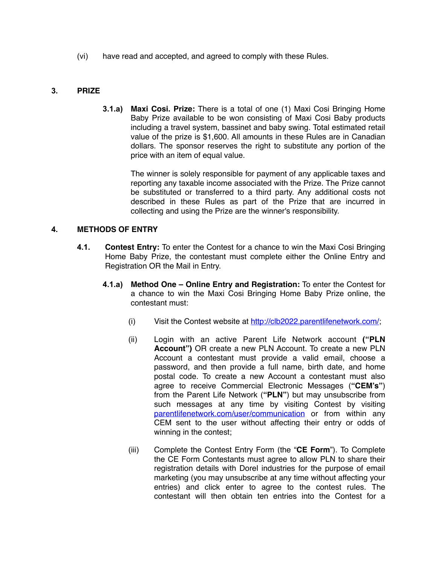(vi) have read and accepted, and agreed to comply with these Rules.

## **3. PRIZE**

**3.1.a) Maxi Cosi. Prize:** There is a total of one (1) Maxi Cosi Bringing Home Baby Prize available to be won consisting of Maxi Cosi Baby products including a travel system, bassinet and baby swing. Total estimated retail value of the prize is \$1,600. All amounts in these Rules are in Canadian dollars. The sponsor reserves the right to substitute any portion of the price with an item of equal value.

The winner is solely responsible for payment of any applicable taxes and reporting any taxable income associated with the Prize. The Prize cannot be substituted or transferred to a third party. Any additional costs not described in these Rules as part of the Prize that are incurred in collecting and using the Prize are the winner's responsibility.

#### **4. METHODS OF ENTRY**

- **4.1. Contest Entry:** To enter the Contest for a chance to win the Maxi Cosi Bringing Home Baby Prize, the contestant must complete either the Online Entry and Registration OR the Mail in Entry.
	- **4.1.a) Method One Online Entry and Registration:** To enter the Contest for a chance to win the Maxi Cosi Bringing Home Baby Prize online, the contestant must:
		- (i) Visit the Contest website at <http://clb2022.parentlifenetwork.com/>;
		- (ii) Login with an active Parent Life Network account **("PLN Account")** OR create a new PLN Account. To create a new PLN Account a contestant must provide a valid email, choose a password, and then provide a full name, birth date, and home postal code. To create a new Account a contestant must also agree to receive Commercial Electronic Messages (**"CEM's"**) from the Parent Life Network (**"PLN"**) but may unsubscribe from such messages at any time by visiting Contest by visiting [parentlifenetwork.com/user/communication](http://parentlifenetwork.com/user/communication) or from within any CEM sent to the user without affecting their entry or odds of winning in the contest;
		- (iii) Complete the Contest Entry Form (the "**CE Form**"). To Complete the CE Form Contestants must agree to allow PLN to share their registration details with Dorel industries for the purpose of email marketing (you may unsubscribe at any time without affecting your entries) and click enter to agree to the contest rules. The contestant will then obtain ten entries into the Contest for a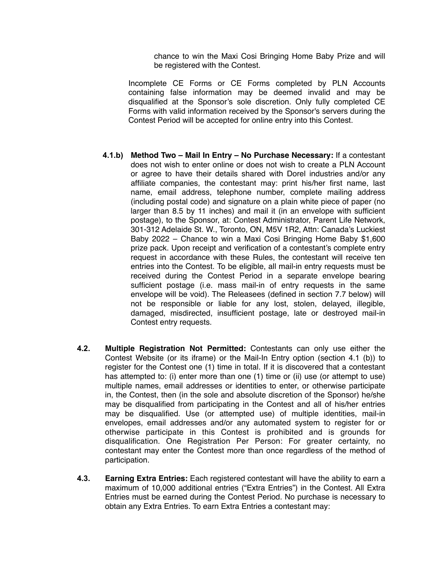chance to win the Maxi Cosi Bringing Home Baby Prize and will be registered with the Contest.

Incomplete CE Forms or CE Forms completed by PLN Accounts containing false information may be deemed invalid and may be disqualified at the Sponsor's sole discretion. Only fully completed CE Forms with valid information received by the Sponsor's servers during the Contest Period will be accepted for online entry into this Contest.

- **4.1.b) Method Two Mail In Entry No Purchase Necessary:** If a contestant does not wish to enter online or does not wish to create a PLN Account or agree to have their details shared with Dorel industries and/or any affiliate companies, the contestant may: print his/her first name, last name, email address, telephone number, complete mailing address (including postal code) and signature on a plain white piece of paper (no larger than 8.5 by 11 inches) and mail it (in an envelope with sufficient postage), to the Sponsor, at: Contest Administrator, Parent Life Network, 301-312 Adelaide St. W., Toronto, ON, M5V 1R2, Attn: Canada's Luckiest Baby 2022 – Chance to win a Maxi Cosi Bringing Home Baby \$1,600 prize pack. Upon receipt and verification of a contestant's complete entry request in accordance with these Rules, the contestant will receive ten entries into the Contest. To be eligible, all mail-in entry requests must be received during the Contest Period in a separate envelope bearing sufficient postage (i.e. mass mail-in of entry requests in the same envelope will be void). The Releasees (defined in section 7.7 below) will not be responsible or liable for any lost, stolen, delayed, illegible, damaged, misdirected, insufficient postage, late or destroyed mail-in Contest entry requests.
- **4.2. Multiple Registration Not Permitted:** Contestants can only use either the Contest Website (or its iframe) or the Mail-In Entry option (section 4.1 (b)) to register for the Contest one (1) time in total. If it is discovered that a contestant has attempted to: (i) enter more than one (1) time or (ii) use (or attempt to use) multiple names, email addresses or identities to enter, or otherwise participate in, the Contest, then (in the sole and absolute discretion of the Sponsor) he/she may be disqualified from participating in the Contest and all of his/her entries may be disqualified. Use (or attempted use) of multiple identities, mail-in envelopes, email addresses and/or any automated system to register for or otherwise participate in this Contest is prohibited and is grounds for disqualification. One Registration Per Person: For greater certainty, no contestant may enter the Contest more than once regardless of the method of participation.
- **4.3. Earning Extra Entries:** Each registered contestant will have the ability to earn a maximum of 10,000 additional entries ("Extra Entries") in the Contest. All Extra Entries must be earned during the Contest Period. No purchase is necessary to obtain any Extra Entries. To earn Extra Entries a contestant may: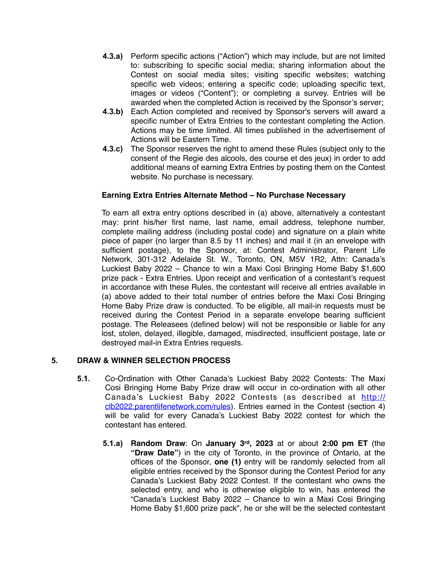- **4.3.a)** Perform specific actions ("Action") which may include, but are not limited to: subscribing to specific social media; sharing information about the Contest on social media sites; visiting specific websites; watching specific web videos; entering a specific code; uploading specific text, images or videos ("Content"); or completing a survey. Entries will be awarded when the completed Action is received by the Sponsor's server;
- **4.3.b)** Each Action completed and received by Sponsor's servers will award a specific number of Extra Entries to the contestant completing the Action. Actions may be time limited. All times published in the advertisement of Actions will be Eastern Time.
- **4.3.c)** The Sponsor reserves the right to amend these Rules (subject only to the consent of the Regie des alcools, des course et des jeux) in order to add additional means of earning Extra Entries by posting them on the Contest website. No purchase is necessary.

## **Earning Extra Entries Alternate Method – No Purchase Necessary**

To earn all extra entry options described in (a) above, alternatively a contestant may: print his/her first name, last name, email address, telephone number, complete mailing address (including postal code) and signature on a plain white piece of paper (no larger than 8.5 by 11 inches) and mail it (in an envelope with sufficient postage), to the Sponsor, at: Contest Administrator, Parent Life Network, 301-312 Adelaide St. W., Toronto, ON, M5V 1R2, Attn: Canada's Luckiest Baby 2022 – Chance to win a Maxi Cosi Bringing Home Baby \$1,600 prize pack - Extra Entries. Upon receipt and verification of a contestant's request in accordance with these Rules, the contestant will receive all entries available in (a) above added to their total number of entries before the Maxi Cosi Bringing Home Baby Prize draw is conducted. To be eligible, all mail-in requests must be received during the Contest Period in a separate envelope bearing sufficient postage. The Releasees (defined below) will not be responsible or liable for any lost, stolen, delayed, illegible, damaged, misdirected, insufficient postage, late or destroyed mail-in Extra Entries requests.

# **5. DRAW & WINNER SELECTION PROCESS**

- **5.1.** Co-Ordination with Other Canada's Luckiest Baby 2022 Contests: The Maxi Cosi Bringing Home Baby Prize draw will occur in co-ordination with all other Canada's Luckiest Baby 2022 Contests (as described at [http://](http://clb2022.parentlifenetwork.com/rules) [clb2022.parentlifenetwork.com/rules](http://clb2022.parentlifenetwork.com/rules)). Entries earned in the Contest (section 4) will be valid for every Canada's Luckiest Baby 2022 contest for which the contestant has entered.
	- **5.1.a) Random Draw**: On **January 3rd, 2023** at or about **2:00 pm ET** (the **"Draw Date"**) in the city of Toronto, in the province of Ontario, at the offices of the Sponsor, **one (1)** entry will be randomly selected from all eligible entries received by the Sponsor during the Contest Period for any Canada's Luckiest Baby 2022 Contest. If the contestant who owns the selected entry, and who is otherwise eligible to win, has entered the "Canada's Luckiest Baby 2022 – Chance to win a Maxi Cosi Bringing Home Baby \$1,600 prize pack", he or she will be the selected contestant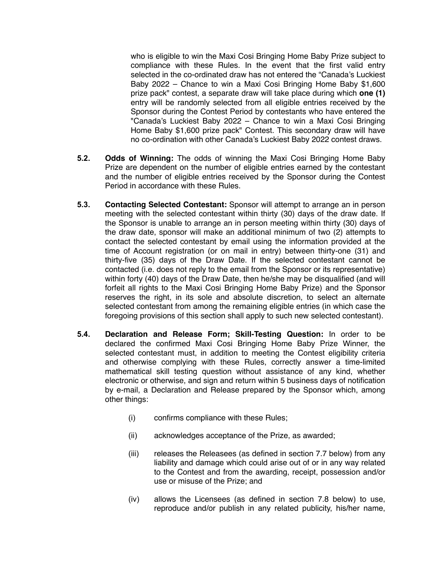who is eligible to win the Maxi Cosi Bringing Home Baby Prize subject to compliance with these Rules. In the event that the first valid entry selected in the co-ordinated draw has not entered the "Canada's Luckiest Baby 2022 – Chance to win a Maxi Cosi Bringing Home Baby \$1,600 prize pack" contest, a separate draw will take place during which **one (1)** entry will be randomly selected from all eligible entries received by the Sponsor during the Contest Period by contestants who have entered the "Canada's Luckiest Baby 2022 – Chance to win a Maxi Cosi Bringing Home Baby \$1,600 prize pack" Contest. This secondary draw will have no co-ordination with other Canada's Luckiest Baby 2022 contest draws.

- **5.2. Odds of Winning:** The odds of winning the Maxi Cosi Bringing Home Baby Prize are dependent on the number of eligible entries earned by the contestant and the number of eligible entries received by the Sponsor during the Contest Period in accordance with these Rules.
- **5.3. Contacting Selected Contestant:** Sponsor will attempt to arrange an in person meeting with the selected contestant within thirty (30) days of the draw date. If the Sponsor is unable to arrange an in person meeting within thirty (30) days of the draw date, sponsor will make an additional minimum of two (2) attempts to contact the selected contestant by email using the information provided at the time of Account registration (or on mail in entry) between thirty-one (31) and thirty-five (35) days of the Draw Date. If the selected contestant cannot be contacted (i.e. does not reply to the email from the Sponsor or its representative) within forty (40) days of the Draw Date, then he/she may be disqualified (and will forfeit all rights to the Maxi Cosi Bringing Home Baby Prize) and the Sponsor reserves the right, in its sole and absolute discretion, to select an alternate selected contestant from among the remaining eligible entries (in which case the foregoing provisions of this section shall apply to such new selected contestant).
- **5.4. Declaration and Release Form; Skill-Testing Question:** In order to be declared the confirmed Maxi Cosi Bringing Home Baby Prize Winner, the selected contestant must, in addition to meeting the Contest eligibility criteria and otherwise complying with these Rules, correctly answer a time-limited mathematical skill testing question without assistance of any kind, whether electronic or otherwise, and sign and return within 5 business days of notification by e-mail, a Declaration and Release prepared by the Sponsor which, among other things:
	- (i) confirms compliance with these Rules;
	- (ii) acknowledges acceptance of the Prize, as awarded;
	- (iii) releases the Releasees (as defined in section 7.7 below) from any liability and damage which could arise out of or in any way related to the Contest and from the awarding, receipt, possession and/or use or misuse of the Prize; and
	- (iv) allows the Licensees (as defined in section 7.8 below) to use, reproduce and/or publish in any related publicity, his/her name,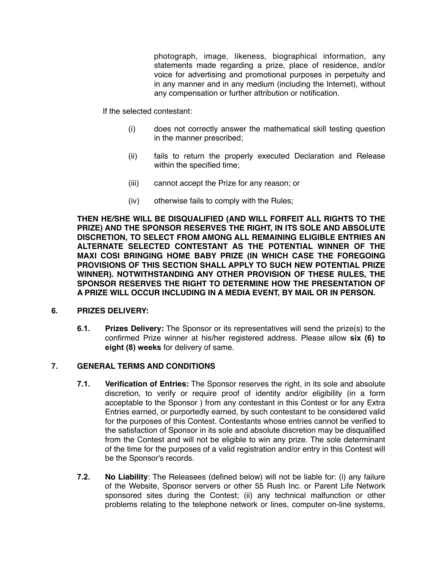photograph, image, likeness, biographical information, any statements made regarding a prize, place of residence, and/or voice for advertising and promotional purposes in perpetuity and in any manner and in any medium (including the Internet), without any compensation or further attribution or notification.

If the selected contestant:

- (i) does not correctly answer the mathematical skill testing question in the manner prescribed;
- (ii) fails to return the properly executed Declaration and Release within the specified time;
- (iii) cannot accept the Prize for any reason; or
- (iv) otherwise fails to comply with the Rules;

**THEN HE/SHE WILL BE DISQUALIFIED (AND WILL FORFEIT ALL RIGHTS TO THE PRIZE) AND THE SPONSOR RESERVES THE RIGHT, IN ITS SOLE AND ABSOLUTE DISCRETION, TO SELECT FROM AMONG ALL REMAINING ELIGIBLE ENTRIES AN ALTERNATE SELECTED CONTESTANT AS THE POTENTIAL WINNER OF THE MAXI COSI BRINGING HOME BABY PRIZE (IN WHICH CASE THE FOREGOING PROVISIONS OF THIS SECTION SHALL APPLY TO SUCH NEW POTENTIAL PRIZE WINNER). NOTWITHSTANDING ANY OTHER PROVISION OF THESE RULES, THE SPONSOR RESERVES THE RIGHT TO DETERMINE HOW THE PRESENTATION OF A PRIZE WILL OCCUR INCLUDING IN A MEDIA EVENT, BY MAIL OR IN PERSON.**

#### **6. PRIZES DELIVERY:**

**6.1. Prizes Delivery:** The Sponsor or its representatives will send the prize(s) to the confirmed Prize winner at his/her registered address. Please allow **six (6) to eight (8) weeks** for delivery of same.

## **7. GENERAL TERMS AND CONDITIONS**

- **7.1. Verification of Entries:** The Sponsor reserves the right, in its sole and absolute discretion, to verify or require proof of identity and/or eligibility (in a form acceptable to the Sponsor ) from any contestant in this Contest or for any Extra Entries earned, or purportedly earned, by such contestant to be considered valid for the purposes of this Contest. Contestants whose entries cannot be verified to the satisfaction of Sponsor in its sole and absolute discretion may be disqualified from the Contest and will not be eligible to win any prize. The sole determinant of the time for the purposes of a valid registration and/or entry in this Contest will be the Sponsor's records.
- **7.2. No Liability**: The Releasees (defined below) will not be liable for: (i) any failure of the Website, Sponsor servers or other 55 Rush Inc. or Parent Life Network sponsored sites during the Contest; (ii) any technical malfunction or other problems relating to the telephone network or lines, computer on-line systems,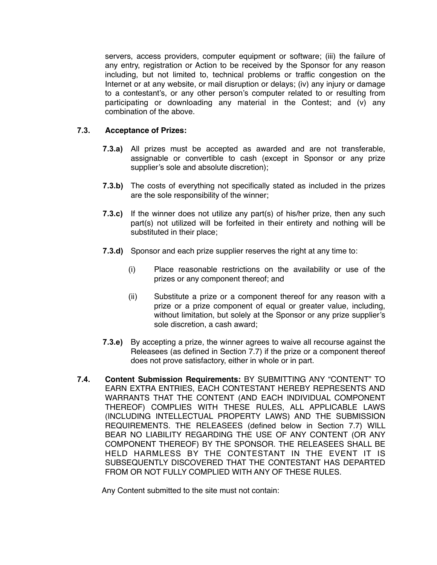servers, access providers, computer equipment or software; (iii) the failure of any entry, registration or Action to be received by the Sponsor for any reason including, but not limited to, technical problems or traffic congestion on the Internet or at any website, or mail disruption or delays; (iv) any injury or damage to a contestant's, or any other person's computer related to or resulting from participating or downloading any material in the Contest; and (v) any combination of the above.

## **7.3. Acceptance of Prizes:**

- **7.3.a)** All prizes must be accepted as awarded and are not transferable, assignable or convertible to cash (except in Sponsor or any prize supplier's sole and absolute discretion);
- **7.3.b)** The costs of everything not specifically stated as included in the prizes are the sole responsibility of the winner;
- **7.3.c)** If the winner does not utilize any part(s) of his/her prize, then any such part(s) not utilized will be forfeited in their entirety and nothing will be substituted in their place;
- **7.3.d)** Sponsor and each prize supplier reserves the right at any time to:
	- (i) Place reasonable restrictions on the availability or use of the prizes or any component thereof; and
	- (ii) Substitute a prize or a component thereof for any reason with a prize or a prize component of equal or greater value, including, without limitation, but solely at the Sponsor or any prize supplier's sole discretion, a cash award;
- **7.3.e)** By accepting a prize, the winner agrees to waive all recourse against the Releasees (as defined in Section 7.7) if the prize or a component thereof does not prove satisfactory, either in whole or in part.
- **7.4. Content Submission Requirements:** BY SUBMITTING ANY "CONTENT" TO EARN EXTRA ENTRIES, EACH CONTESTANT HEREBY REPRESENTS AND WARRANTS THAT THE CONTENT (AND EACH INDIVIDUAL COMPONENT THEREOF) COMPLIES WITH THESE RULES, ALL APPLICABLE LAWS (INCLUDING INTELLECTUAL PROPERTY LAWS) AND THE SUBMISSION REQUIREMENTS. THE RELEASEES (defined below in Section 7.7) WILL BEAR NO LIABILITY REGARDING THE USE OF ANY CONTENT (OR ANY COMPONENT THEREOF) BY THE SPONSOR. THE RELEASEES SHALL BE HELD HARMLESS BY THE CONTESTANT IN THE EVENT IT IS SUBSEQUENTLY DISCOVERED THAT THE CONTESTANT HAS DEPARTED FROM OR NOT FULLY COMPLIED WITH ANY OF THESE RULES.

Any Content submitted to the site must not contain: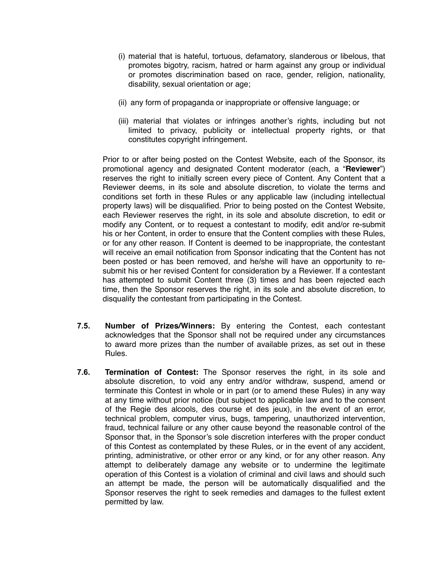- (i) material that is hateful, tortuous, defamatory, slanderous or libelous, that promotes bigotry, racism, hatred or harm against any group or individual or promotes discrimination based on race, gender, religion, nationality, disability, sexual orientation or age;
- (ii) any form of propaganda or inappropriate or offensive language; or
- (iii) material that violates or infringes another's rights, including but not limited to privacy, publicity or intellectual property rights, or that constitutes copyright infringement.

Prior to or after being posted on the Contest Website, each of the Sponsor, its promotional agency and designated Content moderator (each, a "**Reviewer**") reserves the right to initially screen every piece of Content. Any Content that a Reviewer deems, in its sole and absolute discretion, to violate the terms and conditions set forth in these Rules or any applicable law (including intellectual property laws) will be disqualified. Prior to being posted on the Contest Website, each Reviewer reserves the right, in its sole and absolute discretion, to edit or modify any Content, or to request a contestant to modify, edit and/or re-submit his or her Content, in order to ensure that the Content complies with these Rules, or for any other reason. If Content is deemed to be inappropriate, the contestant will receive an email notification from Sponsor indicating that the Content has not been posted or has been removed, and he/she will have an opportunity to resubmit his or her revised Content for consideration by a Reviewer. If a contestant has attempted to submit Content three (3) times and has been rejected each time, then the Sponsor reserves the right, in its sole and absolute discretion, to disqualify the contestant from participating in the Contest.

- **7.5. Number of Prizes/Winners:** By entering the Contest, each contestant acknowledges that the Sponsor shall not be required under any circumstances to award more prizes than the number of available prizes, as set out in these Rules.
- **7.6. Termination of Contest:** The Sponsor reserves the right, in its sole and absolute discretion, to void any entry and/or withdraw, suspend, amend or terminate this Contest in whole or in part (or to amend these Rules) in any way at any time without prior notice (but subject to applicable law and to the consent of the Regie des alcools, des course et des jeux), in the event of an error, technical problem, computer virus, bugs, tampering, unauthorized intervention, fraud, technical failure or any other cause beyond the reasonable control of the Sponsor that, in the Sponsor's sole discretion interferes with the proper conduct of this Contest as contemplated by these Rules, or in the event of any accident, printing, administrative, or other error or any kind, or for any other reason. Any attempt to deliberately damage any website or to undermine the legitimate operation of this Contest is a violation of criminal and civil laws and should such an attempt be made, the person will be automatically disqualified and the Sponsor reserves the right to seek remedies and damages to the fullest extent permitted by law.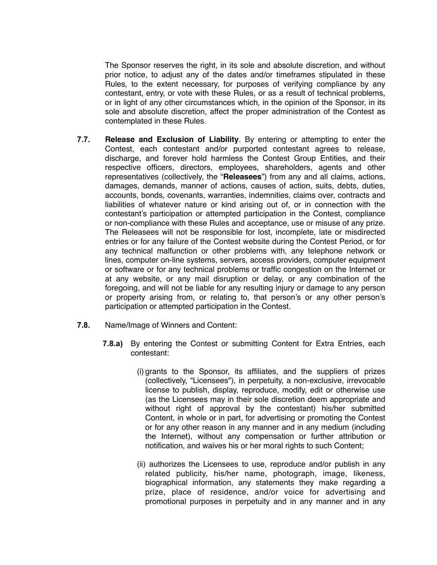The Sponsor reserves the right, in its sole and absolute discretion, and without prior notice, to adjust any of the dates and/or timeframes stipulated in these Rules, to the extent necessary, for purposes of verifying compliance by any contestant, entry, or vote with these Rules, or as a result of technical problems, or in light of any other circumstances which, in the opinion of the Sponsor, in its sole and absolute discretion, affect the proper administration of the Contest as contemplated in these Rules.

- **7.7. Release and Exclusion of Liability**. By entering or attempting to enter the Contest, each contestant and/or purported contestant agrees to release, discharge, and forever hold harmless the Contest Group Entities, and their respective officers, directors, employees, shareholders, agents and other representatives (collectively, the "**Releasees**") from any and all claims, actions, damages, demands, manner of actions, causes of action, suits, debts, duties, accounts, bonds, covenants, warranties, indemnities, claims over, contracts and liabilities of whatever nature or kind arising out of, or in connection with the contestant's participation or attempted participation in the Contest, compliance or non-compliance with these Rules and acceptance, use or misuse of any prize. The Releasees will not be responsible for lost, incomplete, late or misdirected entries or for any failure of the Contest website during the Contest Period, or for any technical malfunction or other problems with, any telephone network or lines, computer on-line systems, servers, access providers, computer equipment or software or for any technical problems or traffic congestion on the Internet or at any website, or any mail disruption or delay, or any combination of the foregoing, and will not be liable for any resulting injury or damage to any person or property arising from, or relating to, that person's or any other person's participation or attempted participation in the Contest.
- **7.8.** Name/Image of Winners and Content:
	- **7.8.a)** By entering the Contest or submitting Content for Extra Entries, each contestant:
		- (i) grants to the Sponsor, its affiliates, and the suppliers of prizes (collectively, "Licensees"), in perpetuity, a non-exclusive, irrevocable license to publish, display, reproduce, modify, edit or otherwise use (as the Licensees may in their sole discretion deem appropriate and without right of approval by the contestant) his/her submitted Content, in whole or in part, for advertising or promoting the Contest or for any other reason in any manner and in any medium (including the Internet), without any compensation or further attribution or notification, and waives his or her moral rights to such Content;
		- (ii) authorizes the Licensees to use, reproduce and/or publish in any related publicity, his/her name, photograph, image, likeness, biographical information, any statements they make regarding a prize, place of residence, and/or voice for advertising and promotional purposes in perpetuity and in any manner and in any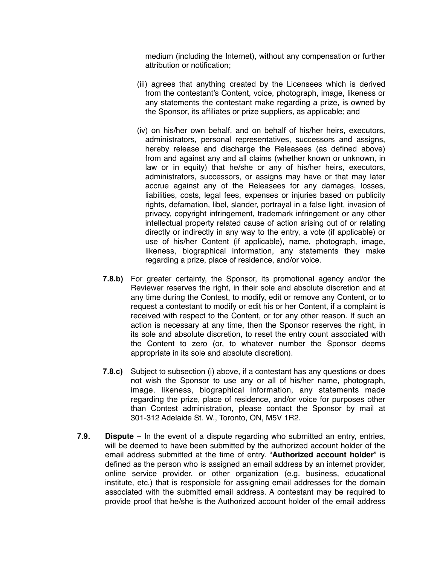medium (including the Internet), without any compensation or further attribution or notification;

- (iii) agrees that anything created by the Licensees which is derived from the contestant's Content, voice, photograph, image, likeness or any statements the contestant make regarding a prize, is owned by the Sponsor, its affiliates or prize suppliers, as applicable; and
- (iv) on his/her own behalf, and on behalf of his/her heirs, executors, administrators, personal representatives, successors and assigns, hereby release and discharge the Releasees (as defined above) from and against any and all claims (whether known or unknown, in law or in equity) that he/she or any of his/her heirs, executors, administrators, successors, or assigns may have or that may later accrue against any of the Releasees for any damages, losses, liabilities, costs, legal fees, expenses or injuries based on publicity rights, defamation, libel, slander, portrayal in a false light, invasion of privacy, copyright infringement, trademark infringement or any other intellectual property related cause of action arising out of or relating directly or indirectly in any way to the entry, a vote (if applicable) or use of his/her Content (if applicable), name, photograph, image, likeness, biographical information, any statements they make regarding a prize, place of residence, and/or voice.
- **7.8.b)** For greater certainty, the Sponsor, its promotional agency and/or the Reviewer reserves the right, in their sole and absolute discretion and at any time during the Contest, to modify, edit or remove any Content, or to request a contestant to modify or edit his or her Content, if a complaint is received with respect to the Content, or for any other reason. If such an action is necessary at any time, then the Sponsor reserves the right, in its sole and absolute discretion, to reset the entry count associated with the Content to zero (or, to whatever number the Sponsor deems appropriate in its sole and absolute discretion).
- **7.8.c)** Subject to subsection (i) above, if a contestant has any questions or does not wish the Sponsor to use any or all of his/her name, photograph, image, likeness, biographical information, any statements made regarding the prize, place of residence, and/or voice for purposes other than Contest administration, please contact the Sponsor by mail at 301-312 Adelaide St. W., Toronto, ON, M5V 1R2.
- **7.9. Dispute**  In the event of a dispute regarding who submitted an entry, entries, will be deemed to have been submitted by the authorized account holder of the email address submitted at the time of entry. "**Authorized account holder**" is defined as the person who is assigned an email address by an internet provider, online service provider, or other organization (e.g. business, educational institute, etc.) that is responsible for assigning email addresses for the domain associated with the submitted email address. A contestant may be required to provide proof that he/she is the Authorized account holder of the email address